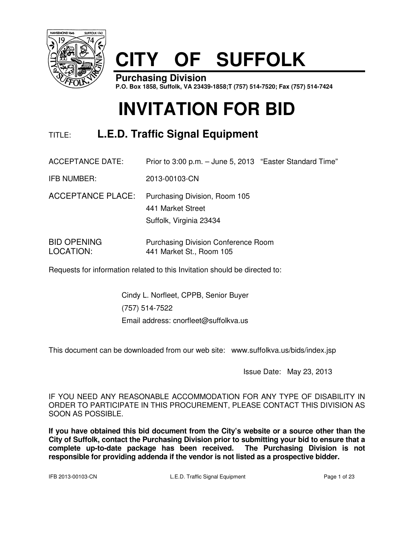

# **CITY OF SUFFOLK**

**Purchasing Division P.O. Box 1858, Suffolk, VA 23439-1858;T (757) 514-7520; Fax (757) 514-7424**

# **INVITATION FOR BID**

# TITLE: **L.E.D. Traffic Signal Equipment**

ACCEPTANCE DATE: Prior to 3:00 p.m. – June 5, 2013 "Easter Standard Time"

IFB NUMBER: 2013-00103-CN

ACCEPTANCE PLACE: Purchasing Division, Room 105 441 Market Street Suffolk, Virginia 23434

BID OPENING Purchasing Division Conference Room LOCATION: 441 Market St., Room 105

Requests for information related to this Invitation should be directed to:

Cindy L. Norfleet, CPPB, Senior Buyer (757) 514-7522 Email address: cnorfleet@suffolkva.us

This document can be downloaded from our web site: www.suffolkva.us/bids/index.jsp

Issue Date: May 23, 2013

IF YOU NEED ANY REASONABLE ACCOMMODATION FOR ANY TYPE OF DISABILITY IN ORDER TO PARTICIPATE IN THIS PROCUREMENT, PLEASE CONTACT THIS DIVISION AS SOON AS POSSIBLE.

**If you have obtained this bid document from the City's website or a source other than the City of Suffolk, contact the Purchasing Division prior to submitting your bid to ensure that a complete up-to-date package has been received. The Purchasing Division is not responsible for providing addenda if the vendor is not listed as a prospective bidder.**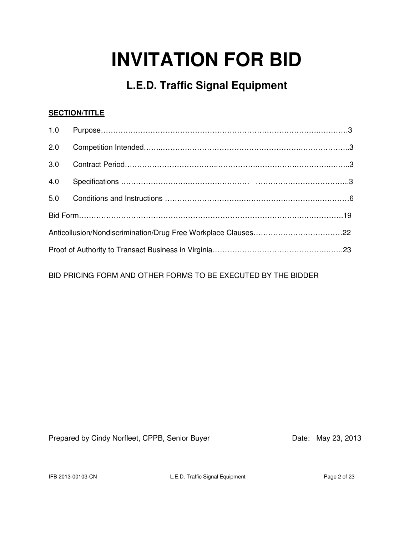# **INVITATION FOR BID**

# **L.E.D. Traffic Signal Equipment**

# **SECTION/TITLE**

| 1.0 |  |  |
|-----|--|--|
| 2.0 |  |  |
| 3.0 |  |  |
| 4.0 |  |  |
| 5.0 |  |  |
|     |  |  |
|     |  |  |
|     |  |  |

BID PRICING FORM AND OTHER FORMS TO BE EXECUTED BY THE BIDDER

Prepared by Cindy Norfleet, CPPB, Senior Buyer Date: May 23, 2013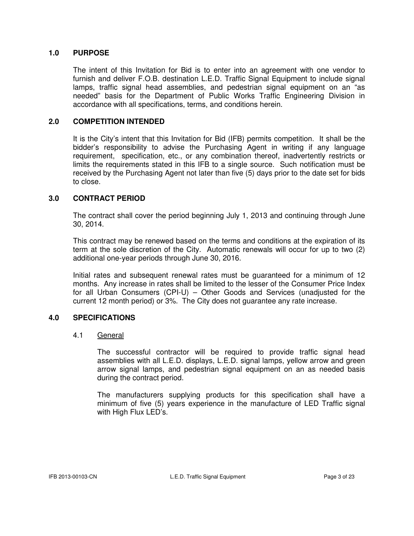### **1.0 PURPOSE**

 The intent of this Invitation for Bid is to enter into an agreement with one vendor to furnish and deliver F.O.B. destination L.E.D. Traffic Signal Equipment to include signal lamps, traffic signal head assemblies, and pedestrian signal equipment on an "as needed" basis for the Department of Public Works Traffic Engineering Division in accordance with all specifications, terms, and conditions herein.

#### **2.0 COMPETITION INTENDED**

 It is the City's intent that this Invitation for Bid (IFB) permits competition. It shall be the bidder's responsibility to advise the Purchasing Agent in writing if any language requirement, specification, etc., or any combination thereof, inadvertently restricts or limits the requirements stated in this IFB to a single source. Such notification must be received by the Purchasing Agent not later than five (5) days prior to the date set for bids to close.

#### **3.0 CONTRACT PERIOD**

The contract shall cover the period beginning July 1, 2013 and continuing through June 30, 2014.

This contract may be renewed based on the terms and conditions at the expiration of its term at the sole discretion of the City. Automatic renewals will occur for up to two (2) additional one-year periods through June 30, 2016.

Initial rates and subsequent renewal rates must be guaranteed for a minimum of 12 months. Any increase in rates shall be limited to the lesser of the Consumer Price Index for all Urban Consumers (CPI-U) – Other Goods and Services (unadjusted for the current 12 month period) or 3%. The City does not guarantee any rate increase.

### **4.0 SPECIFICATIONS**

#### 4.1 General

 The successful contractor will be required to provide traffic signal head assemblies with all L.E.D. displays, L.E.D. signal lamps, yellow arrow and green arrow signal lamps, and pedestrian signal equipment on an as needed basis during the contract period.

 The manufacturers supplying products for this specification shall have a minimum of five (5) years experience in the manufacture of LED Traffic signal with High Flux LED's.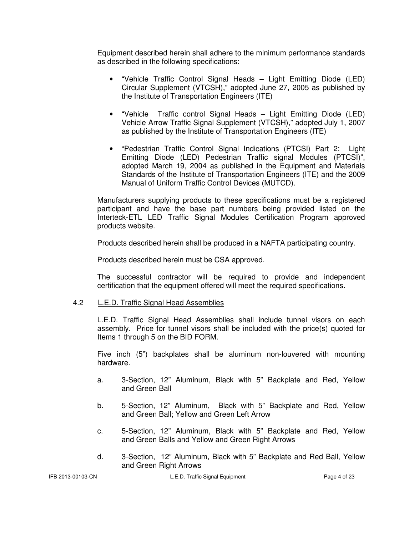Equipment described herein shall adhere to the minimum performance standards as described in the following specifications:

- "Vehicle Traffic Control Signal Heads Light Emitting Diode (LED) Circular Supplement (VTCSH)," adopted June 27, 2005 as published by the Institute of Transportation Engineers (ITE)
- "Vehicle Traffic control Signal Heads Light Emitting Diode (LED) Vehicle Arrow Traffic Signal Supplement (VTCSH)," adopted July 1, 2007 as published by the Institute of Transportation Engineers (ITE)
- "Pedestrian Traffic Control Signal Indications (PTCSI) Part 2: Light Emitting Diode (LED) Pedestrian Traffic signal Modules (PTCSI)", adopted March 19, 2004 as published in the Equipment and Materials Standards of the Institute of Transportation Engineers (ITE) and the 2009 Manual of Uniform Traffic Control Devices (MUTCD).

 Manufacturers supplying products to these specifications must be a registered participant and have the base part numbers being provided listed on the Interteck-ETL LED Traffic Signal Modules Certification Program approved products website.

Products described herein shall be produced in a NAFTA participating country.

Products described herein must be CSA approved.

 The successful contractor will be required to provide and independent certification that the equipment offered will meet the required specifications.

#### 4.2 L.E.D. Traffic Signal Head Assemblies

 L.E.D. Traffic Signal Head Assemblies shall include tunnel visors on each assembly. Price for tunnel visors shall be included with the price(s) quoted for Items 1 through 5 on the BID FORM.

 Five inch (5") backplates shall be aluminum non-louvered with mounting hardware.

- a. 3-Section, 12" Aluminum, Black with 5" Backplate and Red, Yellow and Green Ball
- b. 5-Section, 12" Aluminum, Black with 5" Backplate and Red, Yellow and Green Ball; Yellow and Green Left Arrow
- c. 5-Section, 12" Aluminum, Black with 5" Backplate and Red, Yellow and Green Balls and Yellow and Green Right Arrows
- d. 3-Section, 12" Aluminum, Black with 5" Backplate and Red Ball, Yellow and Green Right Arrows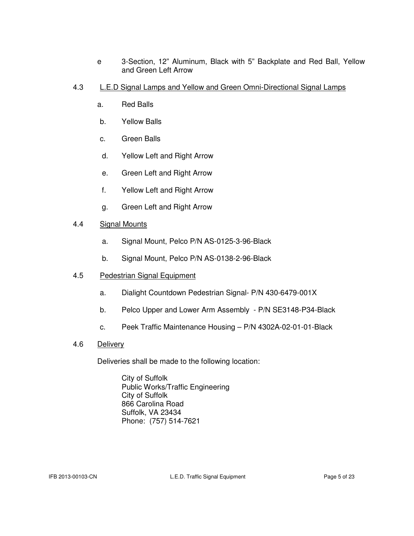- e 3-Section, 12" Aluminum, Black with 5" Backplate and Red Ball, Yellow and Green Left Arrow
- 4.3 L.E.D Signal Lamps and Yellow and Green Omni-Directional Signal Lamps
	- a. Red Balls
	- b. Yellow Balls
	- c. Green Balls
	- d. Yellow Left and Right Arrow
	- e. Green Left and Right Arrow
	- f. Yellow Left and Right Arrow
	- g. Green Left and Right Arrow

### 4.4 Signal Mounts

- a. Signal Mount, Pelco P/N AS-0125-3-96-Black
- b. Signal Mount, Pelco P/N AS-0138-2-96-Black

## 4.5 Pedestrian Signal Equipment

- a. Dialight Countdown Pedestrian Signal- P/N 430-6479-001X
- b. Pelco Upper and Lower Arm Assembly P/N SE3148-P34-Black
- c. Peek Traffic Maintenance Housing P/N 4302A-02-01-01-Black
- 4.6 Delivery

Deliveries shall be made to the following location:

 City of Suffolk Public Works/Traffic Engineering City of Suffolk 866 Carolina Road Suffolk, VA 23434 Phone: (757) 514-7621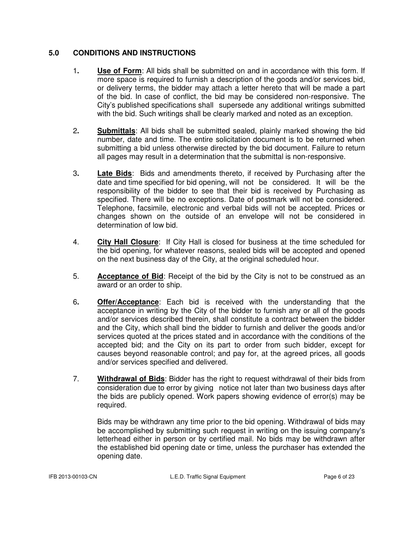## **5.0 CONDITIONS AND INSTRUCTIONS**

- 1**. Use of Form**: All bids shall be submitted on and in accordance with this form. If more space is required to furnish a description of the goods and/or services bid, or delivery terms, the bidder may attach a letter hereto that will be made a part of the bid. In case of conflict, the bid may be considered non-responsive. The City's published specifications shall supersede any additional writings submitted with the bid. Such writings shall be clearly marked and noted as an exception.
- 2**. Submittals**: All bids shall be submitted sealed, plainly marked showing the bid number, date and time. The entire solicitation document is to be returned when submitting a bid unless otherwise directed by the bid document. Failure to return all pages may result in a determination that the submittal is non-responsive.
- 3**. Late Bids**: Bids and amendments thereto, if received by Purchasing after the date and time specified for bid opening, will not be considered. It will be the responsibility of the bidder to see that their bid is received by Purchasing as specified. There will be no exceptions. Date of postmark will not be considered. Telephone, facsimile, electronic and verbal bids will not be accepted. Prices or changes shown on the outside of an envelope will not be considered in determination of low bid.
- 4. **City Hall Closure**: If City Hall is closed for business at the time scheduled for the bid opening, for whatever reasons, sealed bids will be accepted and opened on the next business day of the City, at the original scheduled hour.
- 5. **Acceptance of Bid**: Receipt of the bid by the City is not to be construed as an award or an order to ship.
- 6**. Offer/Acceptance**: Each bid is received with the understanding that the acceptance in writing by the City of the bidder to furnish any or all of the goods and/or services described therein, shall constitute a contract between the bidder and the City, which shall bind the bidder to furnish and deliver the goods and/or services quoted at the prices stated and in accordance with the conditions of the accepted bid; and the City on its part to order from such bidder, except for causes beyond reasonable control; and pay for, at the agreed prices, all goods and/or services specified and delivered.
- 7. **Withdrawal of Bids**: Bidder has the right to request withdrawal of their bids from consideration due to error by giving notice not later than two business days after the bids are publicly opened. Work papers showing evidence of error(s) may be required.

Bids may be withdrawn any time prior to the bid opening. Withdrawal of bids may be accomplished by submitting such request in writing on the issuing company's letterhead either in person or by certified mail. No bids may be withdrawn after the established bid opening date or time, unless the purchaser has extended the opening date.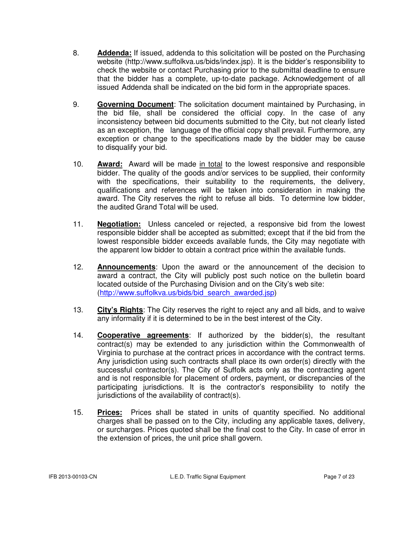- 8. **Addenda:** If issued, addenda to this solicitation will be posted on the Purchasing website (http://www.suffolkva.us/bids/index.jsp). It is the bidder's responsibility to check the website or contact Purchasing prior to the submittal deadline to ensure that the bidder has a complete, up-to-date package. Acknowledgement of all issued Addenda shall be indicated on the bid form in the appropriate spaces.
- 9. **Governing Document**: The solicitation document maintained by Purchasing, in the bid file, shall be considered the official copy. In the case of any inconsistency between bid documents submitted to the City, but not clearly listed as an exception, the language of the official copy shall prevail. Furthermore, any exception or change to the specifications made by the bidder may be cause to disqualify your bid.
- 10. **Award:** Award will be made in total to the lowest responsive and responsible bidder. The quality of the goods and/or services to be supplied, their conformity with the specifications, their suitability to the requirements, the delivery, qualifications and references will be taken into consideration in making the award. The City reserves the right to refuse all bids. To determine low bidder, the audited Grand Total will be used.
- 11. **Negotiation:** Unless canceled or rejected, a responsive bid from the lowest responsible bidder shall be accepted as submitted; except that if the bid from the lowest responsible bidder exceeds available funds, the City may negotiate with the apparent low bidder to obtain a contract price within the available funds.
- 12. **Announcements**: Upon the award or the announcement of the decision to award a contract, the City will publicly post such notice on the bulletin board located outside of the Purchasing Division and on the City's web site: (http://www.suffolkva.us/bids/bid\_search\_awarded.jsp)
- 13. **City's Rights**: The City reserves the right to reject any and all bids, and to waive any informality if it is determined to be in the best interest of the City.
- 14. **Cooperative agreements**: If authorized by the bidder(s), the resultant contract(s) may be extended to any jurisdiction within the Commonwealth of Virginia to purchase at the contract prices in accordance with the contract terms. Any jurisdiction using such contracts shall place its own order(s) directly with the successful contractor(s). The City of Suffolk acts only as the contracting agent and is not responsible for placement of orders, payment, or discrepancies of the participating jurisdictions. It is the contractor's responsibility to notify the jurisdictions of the availability of contract(s).
- 15. **Prices:** Prices shall be stated in units of quantity specified. No additional charges shall be passed on to the City, including any applicable taxes, delivery, or surcharges. Prices quoted shall be the final cost to the City. In case of error in the extension of prices, the unit price shall govern.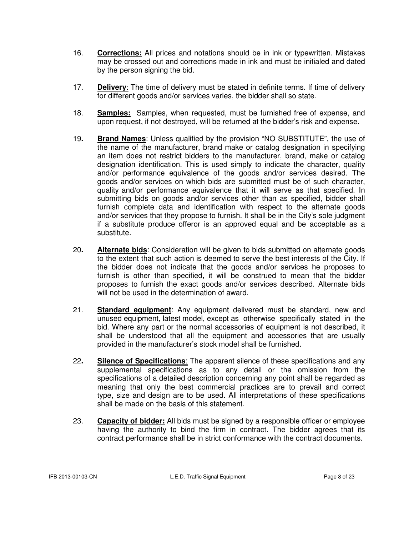- 16. **Corrections:** All prices and notations should be in ink or typewritten. Mistakes may be crossed out and corrections made in ink and must be initialed and dated by the person signing the bid.
- 17. **Delivery**: The time of delivery must be stated in definite terms. If time of delivery for different goods and/or services varies, the bidder shall so state.
- 18. **Samples:** Samples, when requested, must be furnished free of expense, and upon request, if not destroyed, will be returned at the bidder's risk and expense.
- 19**. Brand Names**: Unless qualified by the provision "NO SUBSTITUTE", the use of the name of the manufacturer, brand make or catalog designation in specifying an item does not restrict bidders to the manufacturer, brand, make or catalog designation identification. This is used simply to indicate the character, quality and/or performance equivalence of the goods and/or services desired. The goods and/or services on which bids are submitted must be of such character, quality and/or performance equivalence that it will serve as that specified. In submitting bids on goods and/or services other than as specified, bidder shall furnish complete data and identification with respect to the alternate goods and/or services that they propose to furnish. It shall be in the City's sole judgment if a substitute produce offeror is an approved equal and be acceptable as a substitute.
- 20**. Alternate bids**: Consideration will be given to bids submitted on alternate goods to the extent that such action is deemed to serve the best interests of the City. If the bidder does not indicate that the goods and/or services he proposes to furnish is other than specified, it will be construed to mean that the bidder proposes to furnish the exact goods and/or services described. Alternate bids will not be used in the determination of award.
- 21. **Standard equipment**: Any equipment delivered must be standard, new and unused equipment, latest model, except as otherwise specifically stated in the bid. Where any part or the normal accessories of equipment is not described, it shall be understood that all the equipment and accessories that are usually provided in the manufacturer's stock model shall be furnished.
- 22**. Silence of Specifications**: The apparent silence of these specifications and any supplemental specifications as to any detail or the omission from the specifications of a detailed description concerning any point shall be regarded as meaning that only the best commercial practices are to prevail and correct type, size and design are to be used. All interpretations of these specifications shall be made on the basis of this statement.
- 23. **Capacity of bidder:** All bids must be signed by a responsible officer or employee having the authority to bind the firm in contract. The bidder agrees that its contract performance shall be in strict conformance with the contract documents.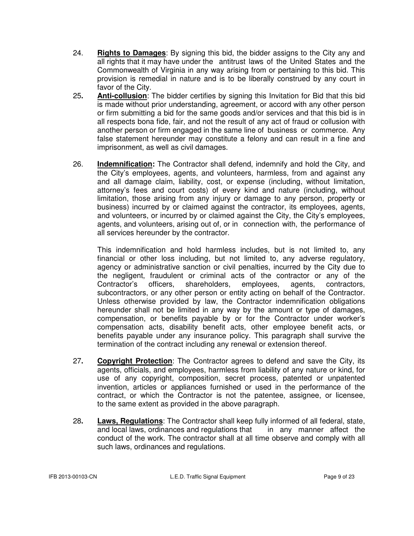- 24. **Rights to Damages**: By signing this bid, the bidder assigns to the City any and all rights that it may have under the antitrust laws of the United States and the Commonwealth of Virginia in any way arising from or pertaining to this bid. This provision is remedial in nature and is to be liberally construed by any court in favor of the City.
- 25**. Anti-collusion**: The bidder certifies by signing this Invitation for Bid that this bid is made without prior understanding, agreement, or accord with any other person or firm submitting a bid for the same goods and/or services and that this bid is in all respects bona fide, fair, and not the result of any act of fraud or collusion with another person or firm engaged in the same line of business or commerce. Any false statement hereunder may constitute a felony and can result in a fine and imprisonment, as well as civil damages.
- 26. **Indemnification:** The Contractor shall defend, indemnify and hold the City, and the City's employees, agents, and volunteers, harmless, from and against any and all damage claim, liability, cost, or expense (including, without limitation, attorney's fees and court costs) of every kind and nature (including, without limitation, those arising from any injury or damage to any person, property or business) incurred by or claimed against the contractor, its employees, agents, and volunteers, or incurred by or claimed against the City, the City's employees, agents, and volunteers, arising out of, or in connection with, the performance of all services hereunder by the contractor.

 This indemnification and hold harmless includes, but is not limited to, any financial or other loss including, but not limited to, any adverse regulatory, agency or administrative sanction or civil penalties, incurred by the City due to the negligent, fraudulent or criminal acts of the contractor or any of the Contractor's officers, shareholders, employees, agents, contractors, subcontractors, or any other person or entity acting on behalf of the Contractor. Unless otherwise provided by law, the Contractor indemnification obligations hereunder shall not be limited in any way by the amount or type of damages, compensation, or benefits payable by or for the Contractor under worker's compensation acts, disability benefit acts, other employee benefit acts, or benefits payable under any insurance policy. This paragraph shall survive the termination of the contract including any renewal or extension thereof.

- 27**. Copyright Protection**: The Contractor agrees to defend and save the City, its agents, officials, and employees, harmless from liability of any nature or kind, for use of any copyright, composition, secret process, patented or unpatented invention, articles or appliances furnished or used in the performance of the contract, or which the Contractor is not the patentee, assignee, or licensee, to the same extent as provided in the above paragraph.
- 28**. Laws, Regulations**: The Contractor shall keep fully informed of all federal, state, and local laws, ordinances and regulations that in any manner affect the conduct of the work. The contractor shall at all time observe and comply with all such laws, ordinances and regulations.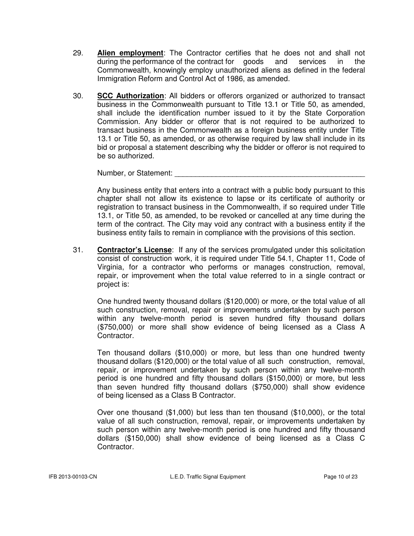- 29. **Alien employment**: The Contractor certifies that he does not and shall not during the performance of the contract for goods and services in the Commonwealth, knowingly employ unauthorized aliens as defined in the federal Immigration Reform and Control Act of 1986, as amended.
- 30. **SCC Authorization**: All bidders or offerors organized or authorized to transact business in the Commonwealth pursuant to Title 13.1 or Title 50, as amended, shall include the identification number issued to it by the State Corporation Commission. Any bidder or offeror that is not required to be authorized to transact business in the Commonwealth as a foreign business entity under Title 13.1 or Title 50, as amended, or as otherwise required by law shall include in its bid or proposal a statement describing why the bidder or offeror is not required to be so authorized.

Number, or Statement:  $\blacksquare$ 

 Any business entity that enters into a contract with a public body pursuant to this chapter shall not allow its existence to lapse or its certificate of authority or registration to transact business in the Commonwealth, if so required under Title 13.1, or Title 50, as amended, to be revoked or cancelled at any time during the term of the contract. The City may void any contract with a business entity if the business entity fails to remain in compliance with the provisions of this section.

31. **Contractor's License**: If any of the services promulgated under this solicitation consist of construction work, it is required under Title 54.1, Chapter 11, Code of Virginia, for a contractor who performs or manages construction, removal, repair, or improvement when the total value referred to in a single contract or project is:

 One hundred twenty thousand dollars (\$120,000) or more, or the total value of all such construction, removal, repair or improvements undertaken by such person within any twelve-month period is seven hundred fifty thousand dollars (\$750,000) or more shall show evidence of being licensed as a Class A Contractor.

 Ten thousand dollars (\$10,000) or more, but less than one hundred twenty thousand dollars (\$120,000) or the total value of all such construction, removal, repair, or improvement undertaken by such person within any twelve-month period is one hundred and fifty thousand dollars (\$150,000) or more, but less than seven hundred fifty thousand dollars (\$750,000) shall show evidence of being licensed as a Class B Contractor.

 Over one thousand (\$1,000) but less than ten thousand (\$10,000), or the total value of all such construction, removal, repair, or improvements undertaken by such person within any twelve-month period is one hundred and fifty thousand dollars (\$150,000) shall show evidence of being licensed as a Class C Contractor.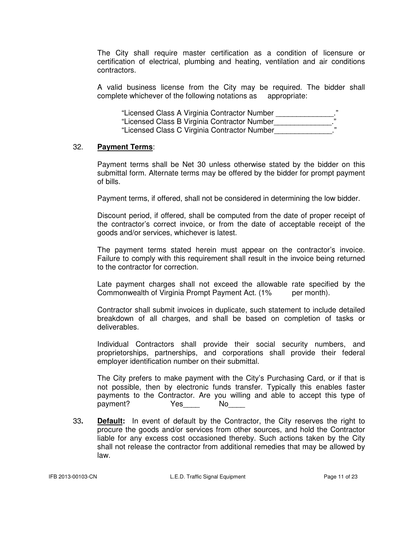The City shall require master certification as a condition of licensure or certification of electrical, plumbing and heating, ventilation and air conditions contractors.

 A valid business license from the City may be required. The bidder shall complete whichever of the following notations as appropriate:

| "Licensed Class A Virginia Contractor Number | ,, |
|----------------------------------------------|----|
|                                              |    |
| "Licensed Class B Virginia Contractor Number |    |
|                                              |    |
| "Licensed Class C Virginia Contractor Number |    |

#### 32. **Payment Terms**:

 Payment terms shall be Net 30 unless otherwise stated by the bidder on this submittal form. Alternate terms may be offered by the bidder for prompt payment of bills.

Payment terms, if offered, shall not be considered in determining the low bidder.

 Discount period, if offered, shall be computed from the date of proper receipt of the contractor's correct invoice, or from the date of acceptable receipt of the goods and/or services, whichever is latest.

 The payment terms stated herein must appear on the contractor's invoice. Failure to comply with this requirement shall result in the invoice being returned to the contractor for correction.

 Late payment charges shall not exceed the allowable rate specified by the Commonwealth of Virginia Prompt Payment Act. (1% per month).

 Contractor shall submit invoices in duplicate, such statement to include detailed breakdown of all charges, and shall be based on completion of tasks or deliverables.

 Individual Contractors shall provide their social security numbers, and proprietorships, partnerships, and corporations shall provide their federal employer identification number on their submittal.

 The City prefers to make payment with the City's Purchasing Card, or if that is not possible, then by electronic funds transfer. Typically this enables faster payments to the Contractor. Are you willing and able to accept this type of payment? Yes No

33**. Default:** In event of default by the Contractor, the City reserves the right to procure the goods and/or services from other sources, and hold the Contractor liable for any excess cost occasioned thereby. Such actions taken by the City shall not release the contractor from additional remedies that may be allowed by law.

IFB 2013-00103-CN L.E.D. Traffic Signal Equipment Page 11 of 23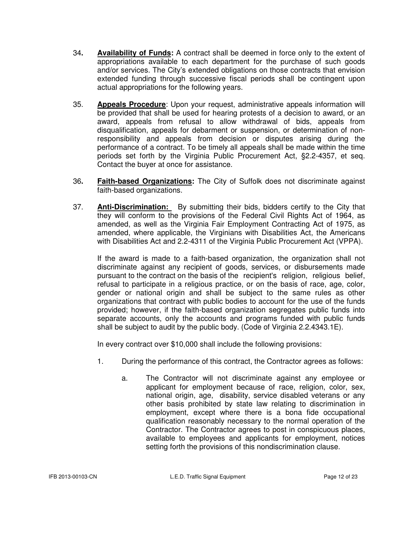- 34**. Availability of Funds:** A contract shall be deemed in force only to the extent of appropriations available to each department for the purchase of such goods and/or services. The City's extended obligations on those contracts that envision extended funding through successive fiscal periods shall be contingent upon actual appropriations for the following years.
- 35. **Appeals Procedure**: Upon your request, administrative appeals information will be provided that shall be used for hearing protests of a decision to award, or an award, appeals from refusal to allow withdrawal of bids, appeals from disqualification, appeals for debarment or suspension, or determination of non responsibility and appeals from decision or disputes arising during the performance of a contract. To be timely all appeals shall be made within the time periods set forth by the Virginia Public Procurement Act, §2.2-4357, et seq. Contact the buyer at once for assistance.
- 36**. Faith-based Organizations:** The City of Suffolk does not discriminate against faith-based organizations.
- 37. **Anti-Discrimination:** By submitting their bids, bidders certify to the City that they will conform to the provisions of the Federal Civil Rights Act of 1964, as amended, as well as the Virginia Fair Employment Contracting Act of 1975, as amended, where applicable, the Virginians with Disabilities Act, the Americans with Disabilities Act and 2.2-4311 of the Virginia Public Procurement Act (VPPA).

 If the award is made to a faith-based organization, the organization shall not discriminate against any recipient of goods, services, or disbursements made pursuant to the contract on the basis of the recipient's religion, religious belief, refusal to participate in a religious practice, or on the basis of race, age, color, gender or national origin and shall be subject to the same rules as other organizations that contract with public bodies to account for the use of the funds provided; however, if the faith-based organization segregates public funds into separate accounts, only the accounts and programs funded with public funds shall be subject to audit by the public body. (Code of Virginia 2.2.4343.1E).

In every contract over \$10,000 shall include the following provisions:

- 1. During the performance of this contract, the Contractor agrees as follows:
	- a. The Contractor will not discriminate against any employee or applicant for employment because of race, religion, color, sex, national origin, age, disability, service disabled veterans or any other basis prohibited by state law relating to discrimination in employment, except where there is a bona fide occupational qualification reasonably necessary to the normal operation of the Contractor. The Contractor agrees to post in conspicuous places, available to employees and applicants for employment, notices setting forth the provisions of this nondiscrimination clause.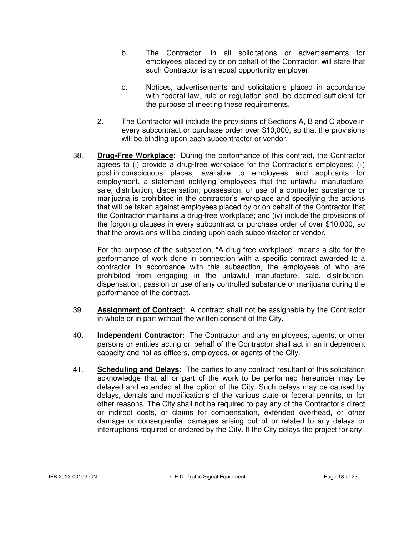- b. The Contractor, in all solicitations or advertisements for employees placed by or on behalf of the Contractor, will state that such Contractor is an equal opportunity employer.
- c. Notices, advertisements and solicitations placed in accordance with federal law, rule or regulation shall be deemed sufficient for the purpose of meeting these requirements.
- 2. The Contractor will include the provisions of Sections A, B and C above in every subcontract or purchase order over \$10,000, so that the provisions will be binding upon each subcontractor or vendor.
- 38. **Drug-Free Workplace**: During the performance of this contract, the Contractor agrees to (i) provide a drug-free workplace for the Contractor's employees; (ii) post in conspicuous places, available to employees and applicants for employment, a statement notifying employees that the unlawful manufacture, sale, distribution, dispensation, possession, or use of a controlled substance or marijuana is prohibited in the contractor's workplace and specifying the actions that will be taken against employees placed by or on behalf of the Contractor that the Contractor maintains a drug-free workplace; and (iv) include the provisions of the forgoing clauses in every subcontract or purchase order of over \$10,000, so that the provisions will be binding upon each subcontractor or vendor.

 For the purpose of the subsection, "A drug-free workplace" means a site for the performance of work done in connection with a specific contract awarded to a contractor in accordance with this subsection, the employees of who are prohibited from engaging in the unlawful manufacture, sale, distribution, dispensation, passion or use of any controlled substance or marijuana during the performance of the contract.

- 39. **Assignment of Contract**: A contract shall not be assignable by the Contractor in whole or in part without the written consent of the City.
- 40**. Independent Contractor:** The Contractor and any employees, agents, or other persons or entities acting on behalf of the Contractor shall act in an independent capacity and not as officers, employees, or agents of the City.
- 41. **Scheduling and Delays:** The parties to any contract resultant of this solicitation acknowledge that all or part of the work to be performed hereunder may be delayed and extended at the option of the City. Such delays may be caused by delays, denials and modifications of the various state or federal permits, or for other reasons. The City shall not be required to pay any of the Contractor's direct or indirect costs, or claims for compensation, extended overhead, or other damage or consequential damages arising out of or related to any delays or interruptions required or ordered by the City. If the City delays the project for any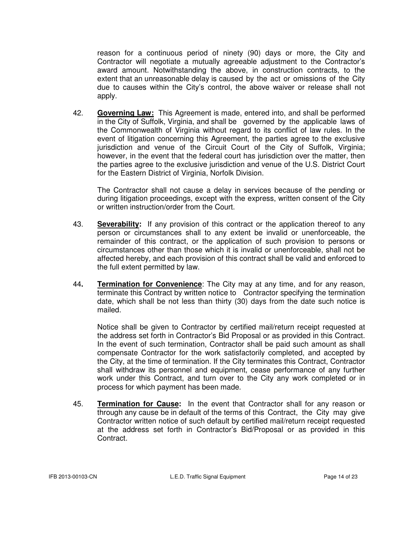reason for a continuous period of ninety (90) days or more, the City and Contractor will negotiate a mutually agreeable adjustment to the Contractor's award amount. Notwithstanding the above, in construction contracts, to the extent that an unreasonable delay is caused by the act or omissions of the City due to causes within the City's control, the above waiver or release shall not apply.

42. **Governing Law:** This Agreement is made, entered into, and shall be performed in the City of Suffolk, Virginia, and shall be governed by the applicable laws of the Commonwealth of Virginia without regard to its conflict of law rules. In the event of litigation concerning this Agreement, the parties agree to the exclusive jurisdiction and venue of the Circuit Court of the City of Suffolk, Virginia; however, in the event that the federal court has jurisdiction over the matter, then the parties agree to the exclusive jurisdiction and venue of the U.S. District Court for the Eastern District of Virginia, Norfolk Division.

 The Contractor shall not cause a delay in services because of the pending or during litigation proceedings, except with the express, written consent of the City or written instruction/order from the Court.

- 43. **Severability:** If any provision of this contract or the application thereof to any person or circumstances shall to any extent be invalid or unenforceable, the remainder of this contract, or the application of such provision to persons or circumstances other than those which it is invalid or unenforceable, shall not be affected hereby, and each provision of this contract shall be valid and enforced to the full extent permitted by law.
- 44**. Termination for Convenience**: The City may at any time, and for any reason, terminate this Contract by written notice to Contractor specifying the termination date, which shall be not less than thirty (30) days from the date such notice is mailed.

 Notice shall be given to Contractor by certified mail/return receipt requested at the address set forth in Contractor's Bid Proposal or as provided in this Contract. In the event of such termination, Contractor shall be paid such amount as shall compensate Contractor for the work satisfactorily completed, and accepted by the City, at the time of termination. If the City terminates this Contract, Contractor shall withdraw its personnel and equipment, cease performance of any further work under this Contract, and turn over to the City any work completed or in process for which payment has been made.

45. **Termination for Cause:** In the event that Contractor shall for any reason or through any cause be in default of the terms of this Contract, the City may give Contractor written notice of such default by certified mail/return receipt requested at the address set forth in Contractor's Bid/Proposal or as provided in this Contract.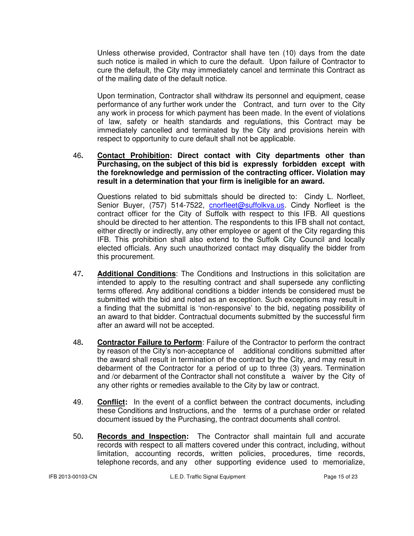Unless otherwise provided, Contractor shall have ten (10) days from the date such notice is mailed in which to cure the default. Upon failure of Contractor to cure the default, the City may immediately cancel and terminate this Contract as of the mailing date of the default notice.

 Upon termination, Contractor shall withdraw its personnel and equipment, cease performance of any further work under the Contract, and turn over to the City any work in process for which payment has been made. In the event of violations of law, safety or health standards and regulations, this Contract may be immediately cancelled and terminated by the City and provisions herein with respect to opportunity to cure default shall not be applicable.

### 46**. Contact Prohibition: Direct contact with City departments other than Purchasing, on the subject of this bid is expressly forbidden except with the foreknowledge and permission of the contracting officer. Violation may result in a determination that your firm is ineligible for an award.**

 Questions related to bid submittals should be directed to: Cindy L. Norfleet, Senior Buyer, (757) 514-7522, cnorfleet@suffolkva.us. Cindy Norfleet is the contract officer for the City of Suffolk with respect to this IFB. All questions should be directed to her attention. The respondents to this IFB shall not contact, either directly or indirectly, any other employee or agent of the City regarding this IFB. This prohibition shall also extend to the Suffolk City Council and locally elected officials. Any such unauthorized contact may disqualify the bidder from this procurement.

- 47**. Additional Conditions**: The Conditions and Instructions in this solicitation are intended to apply to the resulting contract and shall supersede any conflicting terms offered. Any additional conditions a bidder intends be considered must be submitted with the bid and noted as an exception. Such exceptions may result in a finding that the submittal is 'non-responsive' to the bid, negating possibility of an award to that bidder. Contractual documents submitted by the successful firm after an award will not be accepted.
- 48**. Contractor Failure to Perform**: Failure of the Contractor to perform the contract by reason of the City's non-acceptance of additional conditions submitted after the award shall result in termination of the contract by the City, and may result in debarment of the Contractor for a period of up to three (3) years. Termination and /or debarment of the Contractor shall not constitute a waiver by the City of any other rights or remedies available to the City by law or contract.
- 49. **Conflict:** In the event of a conflict between the contract documents, including these Conditions and Instructions, and the terms of a purchase order or related document issued by the Purchasing, the contract documents shall control.
- 50**. Records and Inspection:** The Contractor shall maintain full and accurate records with respect to all matters covered under this contract, including, without limitation, accounting records, written policies, procedures, time records, telephone records, and any other supporting evidence used to memorialize,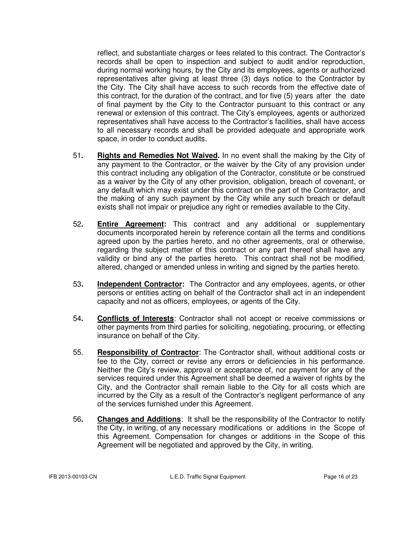reflect, and substantiate charges or fees related to this contract. The Contractor's records shall be open to inspection and subject to audit and/or reproduction, during normal working hours, by the City and its employees, agents or authorized representatives after giving at least three (3) days notice to the Contractor by the City. The City shall have access to such records from the effective date of this contract, for the duration of the contract, and for five (5) years after the date of final payment by the City to the Contractor pursuant to this contract or any renewal or extension of this contract. The City's employees, agents or authorized representatives shall have access to the Contractor's facilities, shall have access to all necessary records and shall be provided adequate and appropriate work space, in order to conduct audits.

- 51**. Rights and Remedies Not Waived.** In no event shall the making by the City of any payment to the Contractor, or the waiver by the City of any provision under this contract including any obligation of the Contractor, constitute or be construed as a waiver by the City of any other provision, obligation, breach of covenant, or any default which may exist under this contract on the part of the Contractor, and the making of any such payment by the City while any such breach or default exists shall not impair or prejudice any right or remedies available to the City.
- 52**. Entire Agreement:** This contract and any additional or supplementary documents incorporated herein by reference contain all the terms and conditions agreed upon by the parties hereto, and no other agreements, oral or otherwise, regarding the subject matter of this contract or any part thereof shall have any validity or bind any of the parties hereto. This contract shall not be modified, altered, changed or amended unless in writing and signed by the parties hereto.
- 53**. Independent Contractor:** The Contractor and any employees, agents, or other persons or entities acting on behalf of the Contractor shall act in an independent capacity and not as officers, employees, or agents of the City.
- 54**. Conflicts of Interests**: Contractor shall not accept or receive commissions or other payments from third parties for soliciting, negotiating, procuring, or effecting insurance on behalf of the City.
- 55. **Responsibility of Contractor**: The Contractor shall, without additional costs or fee to the City, correct or revise any errors or deficiencies in his performance. Neither the City's review, approval or acceptance of, nor payment for any of the services required under this Agreement shall be deemed a waiver of rights by the City, and the Contractor shall remain liable to the City for all costs which are incurred by the City as a result of the Contractor's negligent performance of any of the services furnished under this Agreement.
- 56**. Changes and Additions**: It shall be the responsibility of the Contractor to notify the City, in writing, of any necessary modifications or additions in the Scope of this Agreement. Compensation for changes or additions in the Scope of this Agreement will be negotiated and approved by the City, in writing.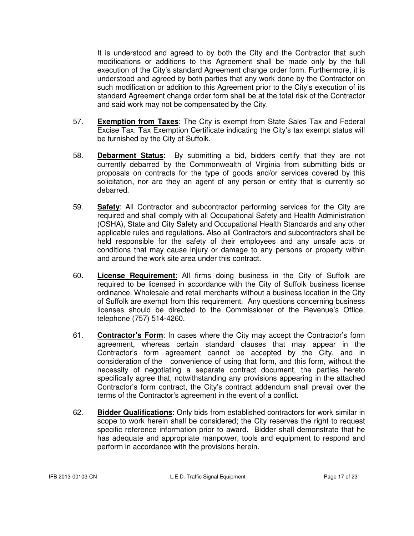It is understood and agreed to by both the City and the Contractor that such modifications or additions to this Agreement shall be made only by the full execution of the City's standard Agreement change order form. Furthermore, it is understood and agreed by both parties that any work done by the Contractor on such modification or addition to this Agreement prior to the City's execution of its standard Agreement change order form shall be at the total risk of the Contractor and said work may not be compensated by the City.

- 57. **Exemption from Taxes**: The City is exempt from State Sales Tax and Federal Excise Tax. Tax Exemption Certificate indicating the City's tax exempt status will be furnished by the City of Suffolk.
- 58. **Debarment Status**: By submitting a bid, bidders certify that they are not currently debarred by the Commonwealth of Virginia from submitting bids or proposals on contracts for the type of goods and/or services covered by this solicitation, nor are they an agent of any person or entity that is currently so debarred.
- 59. **Safety**: All Contractor and subcontractor performing services for the City are required and shall comply with all Occupational Safety and Health Administration (OSHA), State and City Safety and Occupational Health Standards and any other applicable rules and regulations. Also all Contractors and subcontractors shall be held responsible for the safety of their employees and any unsafe acts or conditions that may cause injury or damage to any persons or property within and around the work site area under this contract.
- 60**. License Requirement**: All firms doing business in the City of Suffolk are required to be licensed in accordance with the City of Suffolk business license ordinance. Wholesale and retail merchants without a business location in the City of Suffolk are exempt from this requirement. Any questions concerning business licenses should be directed to the Commissioner of the Revenue's Office, telephone (757) 514-4260.
- 61. **Contractor's Form**: In cases where the City may accept the Contractor's form agreement, whereas certain standard clauses that may appear in the Contractor's form agreement cannot be accepted by the City, and in consideration of the convenience of using that form, and this form, without the necessity of negotiating a separate contract document, the parties hereto specifically agree that, notwithstanding any provisions appearing in the attached Contractor's form contract, the City's contract addendum shall prevail over the terms of the Contractor's agreement in the event of a conflict.
- 62. **Bidder Qualifications**: Only bids from established contractors for work similar in scope to work herein shall be considered; the City reserves the right to request specific reference information prior to award. Bidder shall demonstrate that he has adequate and appropriate manpower, tools and equipment to respond and perform in accordance with the provisions herein.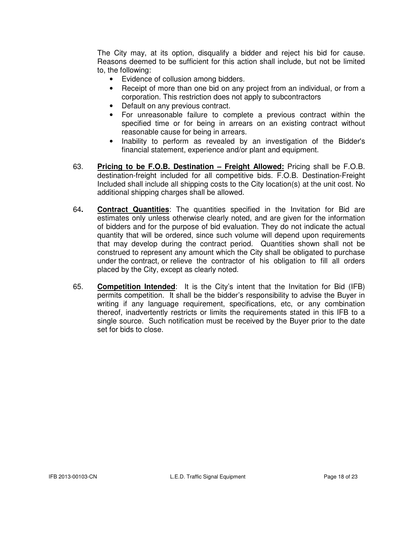The City may, at its option, disqualify a bidder and reject his bid for cause. Reasons deemed to be sufficient for this action shall include, but not be limited to, the following:

- Evidence of collusion among bidders.
- Receipt of more than one bid on any project from an individual, or from a corporation. This restriction does not apply to subcontractors
- Default on any previous contract.
- For unreasonable failure to complete a previous contract within the specified time or for being in arrears on an existing contract without reasonable cause for being in arrears.
- Inability to perform as revealed by an investigation of the Bidder's financial statement, experience and/or plant and equipment.
- 63. **Pricing to be F.O.B. Destination Freight Allowed:** Pricing shall be F.O.B. destination-freight included for all competitive bids. F.O.B. Destination-Freight Included shall include all shipping costs to the City location(s) at the unit cost. No additional shipping charges shall be allowed.
- 64**. Contract Quantities**: The quantities specified in the Invitation for Bid are estimates only unless otherwise clearly noted, and are given for the information of bidders and for the purpose of bid evaluation. They do not indicate the actual quantity that will be ordered, since such volume will depend upon requirements that may develop during the contract period. Quantities shown shall not be construed to represent any amount which the City shall be obligated to purchase under the contract, or relieve the contractor of his obligation to fill all orders placed by the City, except as clearly noted.
- 65. **Competition Intended**: It is the City's intent that the Invitation for Bid (IFB) permits competition. It shall be the bidder's responsibility to advise the Buyer in writing if any language requirement, specifications, etc, or any combination thereof, inadvertently restricts or limits the requirements stated in this IFB to a single source. Such notification must be received by the Buyer prior to the date set for bids to close.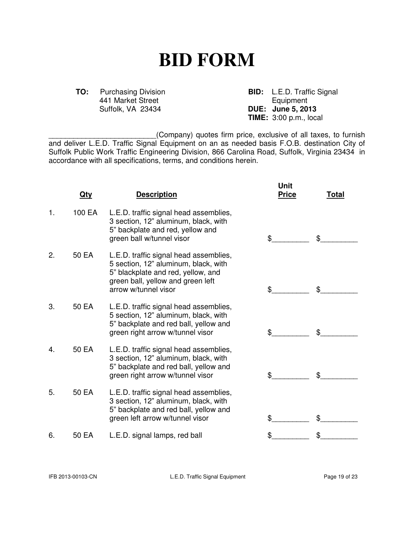# **BID FORM**

441 Market Street<br>Suffolk, VA 23434

**TO:** Purchasing Division **BID:** L.E.D. Traffic Signal 441 Market Street **BID:** Equipment **DUE:** June 5, 2013 **TIME:** 3:00 p.m., local

\_\_\_\_\_\_\_\_\_\_\_\_\_\_\_\_\_\_\_\_\_\_\_\_\_\_(Company) quotes firm price, exclusive of all taxes, to furnish and deliver L.E.D. Traffic Signal Equipment on an as needed basis F.O.B. destination City of Suffolk Public Work Traffic Engineering Division, 866 Carolina Road, Suffolk, Virginia 23434 in accordance with all specifications, terms, and conditions herein.

|    | <u>Qty</u> | <b>Description</b>                                                                                                                                                                | Unit<br><b>Price</b> | Total |
|----|------------|-----------------------------------------------------------------------------------------------------------------------------------------------------------------------------------|----------------------|-------|
| 1. | 100 EA     | L.E.D. traffic signal head assemblies,<br>3 section, 12" aluminum, black, with<br>5" backplate and red, yellow and<br>green ball w/tunnel visor                                   | \$                   | \$    |
| 2. | 50 EA      | L.E.D. traffic signal head assemblies,<br>5 section, 12" aluminum, black, with<br>5" blackplate and red, yellow, and<br>green ball, yellow and green left<br>arrow w/tunnel visor | \$                   | \$    |
| 3. | 50 EA      | L.E.D. traffic signal head assemblies,<br>5 section, 12" aluminum, black, with<br>5" backplate and red ball, yellow and<br>green right arrow w/tunnel visor                       | \$                   | \$    |
| 4. | 50 EA      | L.E.D. traffic signal head assemblies,<br>3 section, 12" aluminum, black, with<br>5" backplate and red ball, yellow and<br>green right arrow w/tunnel visor                       | \$                   | \$    |
| 5. | 50 EA      | L.E.D. traffic signal head assemblies,<br>3 section, 12" aluminum, black, with<br>5" backplate and red ball, yellow and<br>green left arrow w/tunnel visor                        | \$                   | \$    |
| 6. | 50 EA      | L.E.D. signal lamps, red ball                                                                                                                                                     |                      |       |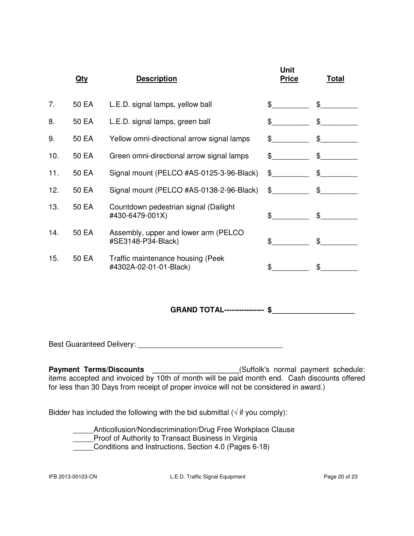|     | <u>Qty</u> | <b>Description</b>                                          | Unit<br><b>Price</b> | <b>Total</b>     |
|-----|------------|-------------------------------------------------------------|----------------------|------------------|
| 7.  | 50 EA      | L.E.D. signal lamps, yellow ball                            | \$                   | $\frac{1}{2}$    |
| 8.  | 50 EA      | L.E.D. signal lamps, green ball                             | \$                   | $\mathfrak{S}^-$ |
| 9.  | 50 EA      | Yellow omni-directional arrow signal lamps                  | $\mathbb S$          | $\mathbb{S}$     |
| 10. | 50 EA      | Green omni-directional arrow signal lamps                   | \$                   | $\mathfrak{S}$   |
| 11. | 50 EA      | Signal mount (PELCO #AS-0125-3-96-Black)                    | $\mathbb{S}$         | \$               |
| 12. | 50 EA      | Signal mount (PELCO #AS-0138-2-96-Black)                    | $\mathfrak s$        | \$               |
| 13. | 50 EA      | Countdown pedestrian signal (Dailight<br>#430-6479-001X)    | \$                   | $\mathfrak{L}$   |
| 14. | 50 EA      | Assembly, upper and lower arm (PELCO<br>#SE3148-P34-Black)  | \$                   | \$               |
| 15. | 50 EA      | Traffic maintenance housing (Peek<br>#4302A-02-01-01-Black) | \$                   | $\mathbb{S}^-$   |
|     |            |                                                             |                      |                  |

 **GRAND TOTAL---------------- \$\_\_\_\_\_\_\_\_\_\_\_\_\_\_\_\_\_\_\_\_** 

Best Guaranteed Delivery: \_\_\_\_\_\_\_\_\_\_\_\_\_\_\_\_\_\_\_\_\_\_\_\_\_\_\_\_\_\_\_\_\_\_\_

**Payment Terms/Discounts \_\_\_\_\_\_\_\_\_\_\_\_\_\_\_\_\_\_\_\_\_\_**(Suffolk's normal payment schedule: items accepted and invoiced by 10th of month will be paid month end. Cash discounts offered for less than 30 Days from receipt of proper invoice will not be considered in award.)

Bidder has included the following with the bid submittal ( $\sqrt{ }$  if you comply):

Anticollusion/Nondiscrimination/Drug Free Workplace Clause **EXECUTE:** Proof of Authority to Transact Business in Virginia **Conditions and Instructions, Section 4.0 (Pages 6-18)**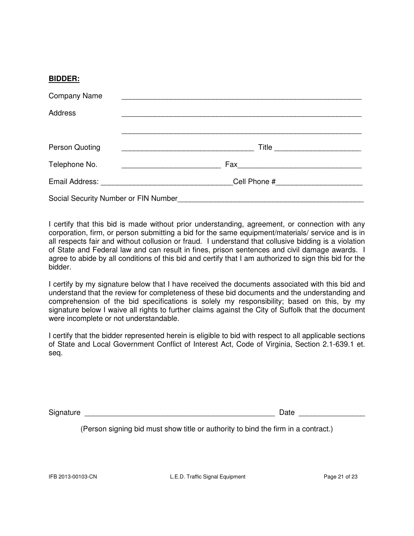#### **BIDDER:**

| <b>Company Name</b>                  |       |  |
|--------------------------------------|-------|--|
| Address                              |       |  |
|                                      |       |  |
| Person Quoting                       | Title |  |
| Telephone No.                        |       |  |
|                                      |       |  |
| Social Security Number or FIN Number |       |  |

I certify that this bid is made without prior understanding, agreement, or connection with any corporation, firm, or person submitting a bid for the same equipment/materials/ service and is in all respects fair and without collusion or fraud. I understand that collusive bidding is a violation of State and Federal law and can result in fines, prison sentences and civil damage awards. I agree to abide by all conditions of this bid and certify that I am authorized to sign this bid for the bidder.

I certify by my signature below that I have received the documents associated with this bid and understand that the review for completeness of these bid documents and the understanding and comprehension of the bid specifications is solely my responsibility; based on this, by my signature below I waive all rights to further claims against the City of Suffolk that the document were incomplete or not understandable.

I certify that the bidder represented herein is eligible to bid with respect to all applicable sections of State and Local Government Conflict of Interest Act, Code of Virginia, Section 2.1-639.1 et. seq.

Signature **Example 20** and  $\overline{a}$  Date  $\overline{b}$ 

(Person signing bid must show title or authority to bind the firm in a contract.)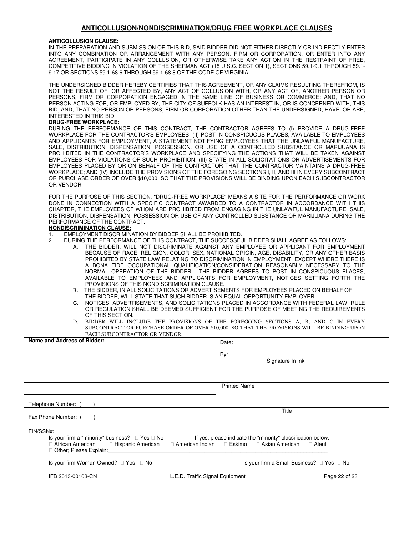#### **ANTICOLLUSION/NONDISCRIMINATION/DRUG FREE WORKPLACE CLAUSES**

#### **ANTICOLLUSION CLAUSE:**

IN THE PREPARATION AND SUBMISSION OF THIS BID, SAID BIDDER DID NOT EITHER DIRECTLY OR INDIRECTLY ENTER INTO ANY COMBINATION OR ARRANGEMENT WITH ANY PERSON, FIRM OR CORPORATION, OR ENTER INTO ANY AGREEMENT, PARTICIPATE IN ANY COLLUSION, OR OTHERWISE TAKE ANY ACTION IN THE RESTRAINT OF FREE, COMPETITIVE BIDDING IN VIOLATION OF THE SHERMAN ACT (15 U.S.C. SECTION 1), SECTIONS 59.1-9.1 THROUGH 59.1- 9.17 OR SECTIONS 59.1-68.6 THROUGH 59.1-68.8 OF THE CODE OF VIRGINIA.

THE UNDERSIGNED BIDDER HEREBY CERTIFIES THAT THIS AGREEMENT, OR ANY CLAIMS RESULTING THEREFROM, IS NOT THE RESULT OF, OR AFFECTED BY, ANY ACT OF COLLUSION WITH, OR ANY ACT OF, ANOTHER PERSON OR PERSONS, FIRM OR CORPORATION ENGAGED IN THE SAME LINE OF BUSINESS OR COMMERCE; AND, THAT NO PERSON ACTING FOR, OR EMPLOYED BY, THE CITY OF SUFFOLK HAS AN INTEREST IN, OR IS CONCERNED WITH, THIS BID; AND, THAT NO PERSON OR PERSONS, FIRM OR CORPORATION OTHER THAN THE UNDERSIGNED, HAVE, OR ARE, INTERESTED IN THIS BID.

#### **DRUG-FREE WORKPLACE:**

DURING THE PERFORMANCE OF THIS CONTRACT, THE CONTRACTOR AGREES TO (I) PROVIDE A DRUG-FREE WORKPLACE FOR THE CONTRACTOR'S EMPLOYEES; (II) POST IN CONSPICUOUS PLACES, AVAILABLE TO EMPLOYEES AND APPLICANTS FOR EMPLOYMENT, A STATEMENT NOTIFYING EMPLOYEES THAT THE UNLAWFUL MANUFACTURE, SALE, DISTRIBUTION, DISPENSATION, POSSESSION, OR USE OF A CONTROLLED SUBSTANCE OR MARIJUANA IS PROHIBITED IN THE CONTRACTOR'S WORKPLACE AND SPECIFYING THE ACTIONS THAT WILL BE TAKEN AGAINST EMPLOYEES FOR VIOLATIONS OF SUCH PROHIBITION; (III) STATE IN ALL SOLICITATIONS OR ADVERTISEMENTS FOR EMPLOYEES PLACED BY OR ON BEHALF OF THE CONTRACTOR THAT THE CONTRACTOR MAINTAINS A DRUG-FREE WORKPLACE; AND (IV) INCLUDE THE PROVISIONS OF THE FOREGOING SECTIONS I, II, AND III IN EVERY SUBCONTRACT OR PURCHASE ORDER OF OVER \$10,000, SO THAT THE PROVISIONS WILL BE BINDING UPON EACH SUBCONTRACTOR OR VENDOR.

FOR THE PURPOSE OF THIS SECTION, "DRUG-FREE WORKPLACE" MEANS A SITE FOR THE PERFORMANCE OR WORK DONE IN CONNECTION WITH A SPECIFIC CONTRACT AWARDED TO A CONTRACTOR IN ACCORDANCE WITH THIS CHAPTER, THE EMPLOYEES OF WHOM ARE PROHIBITED FROM ENGAGING IN THE UNLAWFUL MANUFACTURE, SALE, DISTRIBUTION, DISPENSATION, POSSESSION OR USE OF ANY CONTROLLED SUBSTANCE OR MARIJUANA DURING THE PERFORMANCE OF THE CONTRACT.

#### **NONDISCRIMINATION CLAUSE:**

- 1. EMPLOYMENT DISCRIMINATION BY BIDDER SHALL BE PROHIBITED.
- 2. DURING THE PERFORMANCE OF THIS CONTRACT, THE SUCCESSFUL BIDDER SHALL AGREE AS FOLLOWS:
	- A. THE BIDDER, WILL NOT DISCRIMINATE AGAINST ANY EMPLOYEE OR APPLICANT FOR EMPLOYMENT BECAUSE OF RACE, RELIGION, COLOR, SEX, NATIONAL ORIGIN, AGE, DISABILITY, OR ANY OTHER BASIS PROHIBITED BY STATE LAW RELATING TO DISCRIMINATION IN EMPLOYMENT, EXCEPT WHERE THERE IS A BONA FIDE OCCUPATIONAL QUALIFICATION/CONSIDERATION REASONABLY NECESSARY TO THE NORMAL OPERATION OF THE BIDDER. THE BIDDER AGREES TO POST IN CONSPICUOUS PLACES, AVAILABLE TO EMPLOYEES AND APPLICANTS FOR EMPLOYMENT, NOTICES SETTING FORTH THE PROVISIONS OF THIS NONDISCRIMINATION CLAUSE.
	- B. THE BIDDER, IN ALL SOLICITATIONS OR ADVERTISEMENTS FOR EMPLOYEES PLACED ON BEHALF OF THE BIDDER, WILL STATE THAT SUCH BIDDER IS AN EQUAL OPPORTUNITY EMPLOYER.
	- **C.** NOTICES, ADVERTISEMENTS, AND SOLICITATIONS PLACED IN ACCORDANCE WITH FEDERAL LAW, RULE OR REGULATION SHALL BE DEEMED SUFFICIENT FOR THE PURPOSE OF MEETING THE REQUIREMENTS OF THIS SECTION.
	- D. BIDDER WILL INCLUDE THE PROVISIONS OF THE FOREGOING SECTIONS A, B, AND C IN EVERY SUBCONTRACT OR PURCHASE ORDER OF OVER \$10,000, SO THAT THE PROVISIONS WILL BE BINDING UPON EACH SUBCONTRACTOR OR VENDOR.

| Name and Address of Bidder:                                                                                                              | Date:                                                                                                                                      |
|------------------------------------------------------------------------------------------------------------------------------------------|--------------------------------------------------------------------------------------------------------------------------------------------|
|                                                                                                                                          | By:                                                                                                                                        |
|                                                                                                                                          | Signature In Ink                                                                                                                           |
|                                                                                                                                          |                                                                                                                                            |
|                                                                                                                                          | <b>Printed Name</b>                                                                                                                        |
| Telephone Number: (                                                                                                                      |                                                                                                                                            |
| Fax Phone Number: (                                                                                                                      | Title                                                                                                                                      |
| FIN/SSN#:                                                                                                                                |                                                                                                                                            |
| Is your firm a "minority" business? $\Box$ Yes $\Box$ No<br>$\Box$ African American $\Box$ Hispanic American<br>□ Other; Please Explain: | If yes, please indicate the "minority" classification below:<br>$\Box$ American Indian $\Box$ Eskimo $\Box$ Asian American<br>$\Box$ Aleut |
| Is your firm Woman Owned? $\Box$ Yes $\Box$ No                                                                                           | Is your firm a Small Business? □ Yes □ No                                                                                                  |
| IFB 2013-00103-CN                                                                                                                        | L.E.D. Traffic Signal Equipment<br>Page 22 of 23                                                                                           |